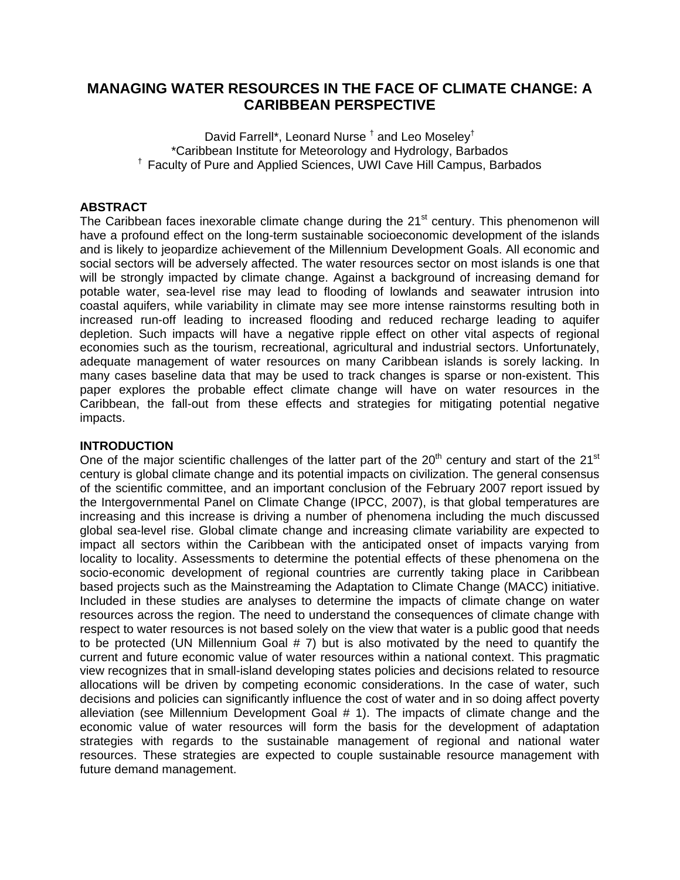# **MANAGING WATER RESOURCES IN THE FACE OF CLIMATE CHANGE: A CARIBBEAN PERSPECTIVE**

David Farrell\*, Leonard Nurse  $^{\dagger}$  and Leo Moseley $^{\dagger}$ \*Caribbean Institute for Meteorology and Hydrology, Barbados † Faculty of Pure and Applied Sciences, UWI Cave Hill Campus, Barbados

### **ABSTRACT**

The Caribbean faces inexorable climate change during the  $21<sup>st</sup>$  century. This phenomenon will have a profound effect on the long-term sustainable socioeconomic development of the islands and is likely to jeopardize achievement of the Millennium Development Goals. All economic and social sectors will be adversely affected. The water resources sector on most islands is one that will be strongly impacted by climate change. Against a background of increasing demand for potable water, sea-level rise may lead to flooding of lowlands and seawater intrusion into coastal aquifers, while variability in climate may see more intense rainstorms resulting both in increased run-off leading to increased flooding and reduced recharge leading to aquifer depletion. Such impacts will have a negative ripple effect on other vital aspects of regional economies such as the tourism, recreational, agricultural and industrial sectors. Unfortunately, adequate management of water resources on many Caribbean islands is sorely lacking. In many cases baseline data that may be used to track changes is sparse or non-existent. This paper explores the probable effect climate change will have on water resources in the Caribbean, the fall-out from these effects and strategies for mitigating potential negative impacts.

#### **INTRODUCTION**

One of the major scientific challenges of the latter part of the  $20<sup>th</sup>$  century and start of the  $21<sup>st</sup>$ century is global climate change and its potential impacts on civilization. The general consensus of the scientific committee, and an important conclusion of the February 2007 report issued by the Intergovernmental Panel on Climate Change (IPCC, 2007), is that global temperatures are increasing and this increase is driving a number of phenomena including the much discussed global sea-level rise. Global climate change and increasing climate variability are expected to impact all sectors within the Caribbean with the anticipated onset of impacts varying from locality to locality. Assessments to determine the potential effects of these phenomena on the socio-economic development of regional countries are currently taking place in Caribbean based projects such as the Mainstreaming the Adaptation to Climate Change (MACC) initiative. Included in these studies are analyses to determine the impacts of climate change on water resources across the region. The need to understand the consequences of climate change with respect to water resources is not based solely on the view that water is a public good that needs to be protected (UN Millennium Goal # 7) but is also motivated by the need to quantify the current and future economic value of water resources within a national context. This pragmatic view recognizes that in small-island developing states policies and decisions related to resource allocations will be driven by competing economic considerations. In the case of water, such decisions and policies can significantly influence the cost of water and in so doing affect poverty alleviation (see Millennium Development Goal # 1). The impacts of climate change and the economic value of water resources will form the basis for the development of adaptation strategies with regards to the sustainable management of regional and national water resources. These strategies are expected to couple sustainable resource management with future demand management.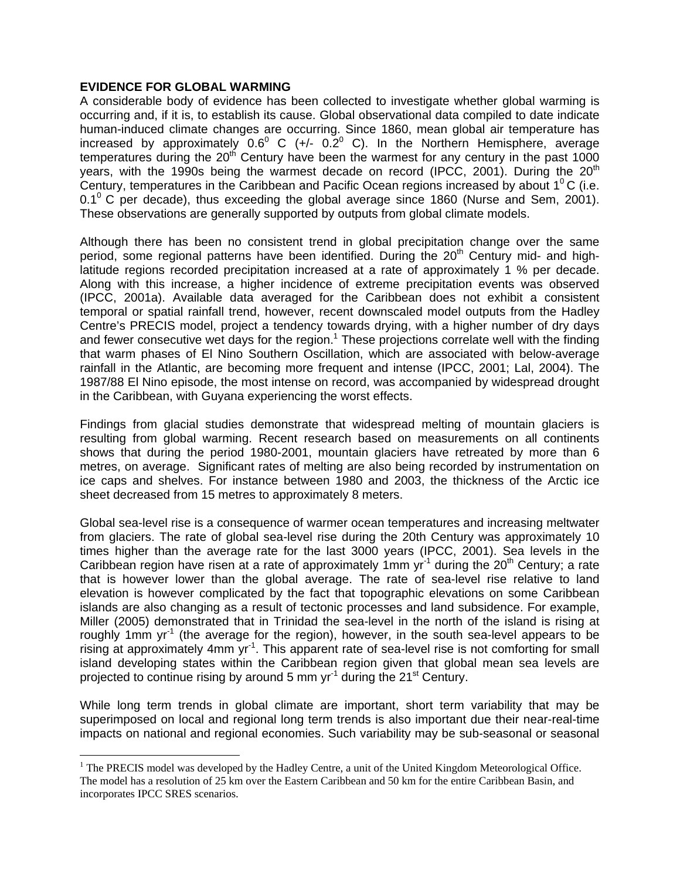#### **EVIDENCE FOR GLOBAL WARMING**

 $\overline{a}$ 

A considerable body of evidence has been collected to investigate whether global warming is occurring and, if it is, to establish its cause. Global observational data compiled to date indicate human-induced climate changes are occurring. Since 1860, mean global air temperature has increased by approximately  $0.6^{\circ}$  C (+/-  $0.2^{\circ}$  C). In the Northern Hemisphere, average temperatures during the  $20<sup>th</sup>$  Century have been the warmest for any century in the past 1000 years, with the 1990s being the warmest decade on record (IPCC, 2001). During the  $20<sup>th</sup>$ Century, temperatures in the Caribbean and Pacific Ocean regions increased by about  $1^0$ C (i.e.  $0.1^{\circ}$  C per decade), thus exceeding the global average since 1860 (Nurse and Sem, 2001). These observations are generally supported by outputs from global climate models.

Although there has been no consistent trend in global precipitation change over the same period, some regional patterns have been identified. During the  $20<sup>th</sup>$  Century mid- and highlatitude regions recorded precipitation increased at a rate of approximately 1 % per decade. Along with this increase, a higher incidence of extreme precipitation events was observed (IPCC, 2001a). Available data averaged for the Caribbean does not exhibit a consistent temporal or spatial rainfall trend, however, recent downscaled model outputs from the Hadley Centre's PRECIS model, project a tendency towards drying, with a higher number of dry days and fewer consecutive wet days for the region.<sup>1</sup> These projections correlate well with the finding that warm phases of El Nino Southern Oscillation, which are associated with below-average rainfall in the Atlantic, are becoming more frequent and intense (IPCC, 2001; Lal, 2004). The 1987/88 El Nino episode, the most intense on record, was accompanied by widespread drought in the Caribbean, with Guyana experiencing the worst effects.

Findings from glacial studies demonstrate that widespread melting of mountain glaciers is resulting from global warming. Recent research based on measurements on all continents shows that during the period 1980-2001, mountain glaciers have retreated by more than 6 metres, on average. Significant rates of melting are also being recorded by instrumentation on ice caps and shelves. For instance between 1980 and 2003, the thickness of the Arctic ice sheet decreased from 15 metres to approximately 8 meters.

Global sea-level rise is a consequence of warmer ocean temperatures and increasing meltwater from glaciers. The rate of global sea-level rise during the 20th Century was approximately 10 times higher than the average rate for the last 3000 years (IPCC, 2001). Sea levels in the Caribbean region have risen at a rate of approximately 1mm  $yr^{-1}$  during the 20<sup>th</sup> Century; a rate that is however lower than the global average. The rate of sea-level rise relative to land elevation is however complicated by the fact that topographic elevations on some Caribbean islands are also changing as a result of tectonic processes and land subsidence. For example, Miller (2005) demonstrated that in Trinidad the sea-level in the north of the island is rising at roughly 1mm  $yr^{-1}$  (the average for the region), however, in the south sea-level appears to be rising at approximately 4mm  $yr^{-1}$ . This apparent rate of sea-level rise is not comforting for small island developing states within the Caribbean region given that global mean sea levels are projected to continue rising by around 5 mm  $yr^{-1}$  during the 21<sup>st</sup> Century.

While long term trends in global climate are important, short term variability that may be superimposed on local and regional long term trends is also important due their near-real-time impacts on national and regional economies. Such variability may be sub-seasonal or seasonal

<sup>&</sup>lt;sup>1</sup> The PRECIS model was developed by the Hadley Centre, a unit of the United Kingdom Meteorological Office. The model has a resolution of 25 km over the Eastern Caribbean and 50 km for the entire Caribbean Basin, and incorporates IPCC SRES scenarios.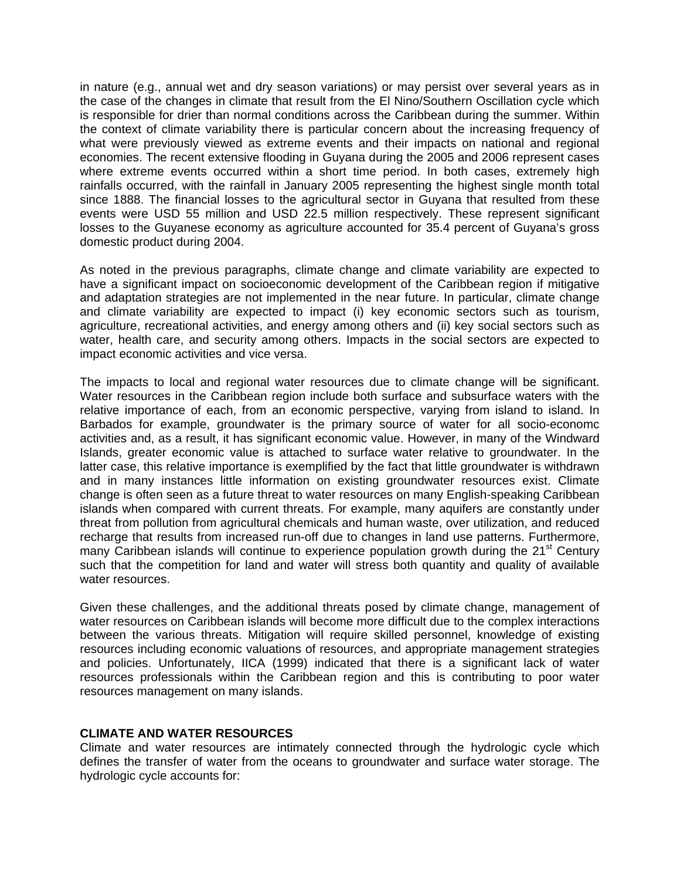in nature (e.g., annual wet and dry season variations) or may persist over several years as in the case of the changes in climate that result from the El Nino/Southern Oscillation cycle which is responsible for drier than normal conditions across the Caribbean during the summer. Within the context of climate variability there is particular concern about the increasing frequency of what were previously viewed as extreme events and their impacts on national and regional economies. The recent extensive flooding in Guyana during the 2005 and 2006 represent cases where extreme events occurred within a short time period. In both cases, extremely high rainfalls occurred, with the rainfall in January 2005 representing the highest single month total since 1888. The financial losses to the agricultural sector in Guyana that resulted from these events were USD 55 million and USD 22.5 million respectively. These represent significant losses to the Guyanese economy as agriculture accounted for 35.4 percent of Guyana's gross domestic product during 2004.

As noted in the previous paragraphs, climate change and climate variability are expected to have a significant impact on socioeconomic development of the Caribbean region if mitigative and adaptation strategies are not implemented in the near future. In particular, climate change and climate variability are expected to impact (i) key economic sectors such as tourism, agriculture, recreational activities, and energy among others and (ii) key social sectors such as water, health care, and security among others. Impacts in the social sectors are expected to impact economic activities and vice versa.

The impacts to local and regional water resources due to climate change will be significant. Water resources in the Caribbean region include both surface and subsurface waters with the relative importance of each, from an economic perspective, varying from island to island. In Barbados for example, groundwater is the primary source of water for all socio-economc activities and, as a result, it has significant economic value. However, in many of the Windward Islands, greater economic value is attached to surface water relative to groundwater. In the latter case, this relative importance is exemplified by the fact that little groundwater is withdrawn and in many instances little information on existing groundwater resources exist. Climate change is often seen as a future threat to water resources on many English-speaking Caribbean islands when compared with current threats. For example, many aquifers are constantly under threat from pollution from agricultural chemicals and human waste, over utilization, and reduced recharge that results from increased run-off due to changes in land use patterns. Furthermore, many Caribbean islands will continue to experience population growth during the 21<sup>st</sup> Century such that the competition for land and water will stress both quantity and quality of available water resources.

Given these challenges, and the additional threats posed by climate change, management of water resources on Caribbean islands will become more difficult due to the complex interactions between the various threats. Mitigation will require skilled personnel, knowledge of existing resources including economic valuations of resources, and appropriate management strategies and policies. Unfortunately, IICA (1999) indicated that there is a significant lack of water resources professionals within the Caribbean region and this is contributing to poor water resources management on many islands.

### **CLIMATE AND WATER RESOURCES**

Climate and water resources are intimately connected through the hydrologic cycle which defines the transfer of water from the oceans to groundwater and surface water storage. The hydrologic cycle accounts for: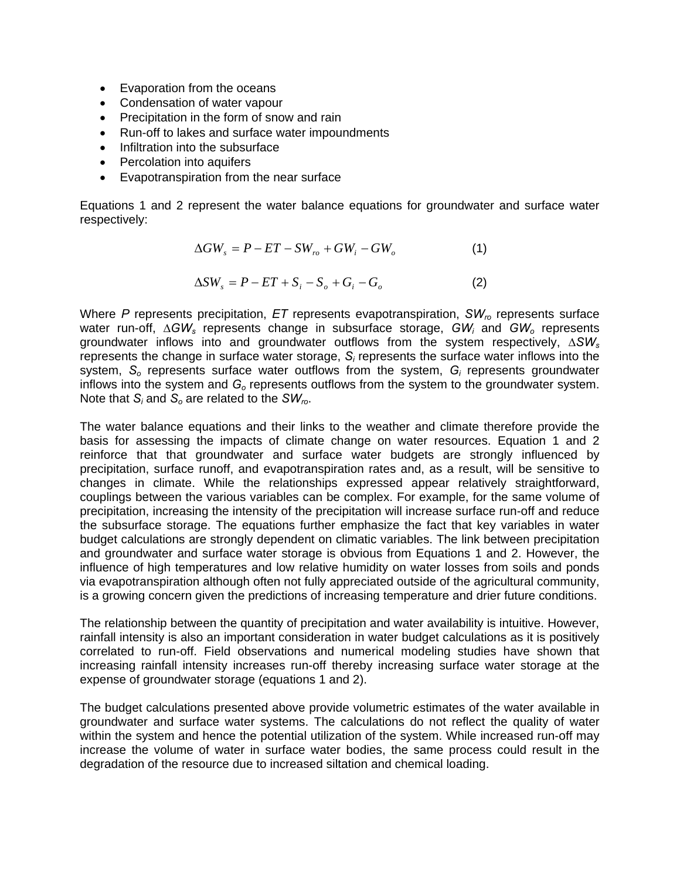- Evaporation from the oceans
- Condensation of water vapour
- Precipitation in the form of snow and rain
- Run-off to lakes and surface water impoundments
- Infiltration into the subsurface
- Percolation into aquifers
- Evapotranspiration from the near surface

Equations 1 and 2 represent the water balance equations for groundwater and surface water respectively:

$$
\Delta GW_s = P - ET - SW_{ro} + GW_i - GW_o \tag{1}
$$

$$
\Delta SW_s = P - ET + S_i - S_o + G_i - G_o \tag{2}
$$

Where *P* represents precipitation, *ET* represents evapotranspiration, *SWro* represents surface water run-off, *∆GW<sub>s</sub>* represents change in subsurface storage, *GW<sub>i</sub>* and *GW<sub>o</sub>* represents groundwater inflows into and groundwater outflows from the system respectively, *∆SWs* represents the change in surface water storage, *Si* represents the surface water inflows into the system, *So* represents surface water outflows from the system, *Gi* represents groundwater inflows into the system and G<sub>o</sub> represents outflows from the system to the groundwater system. Note that *Si* and *So* are related to the *SWro*.

The water balance equations and their links to the weather and climate therefore provide the basis for assessing the impacts of climate change on water resources. Equation 1 and 2 reinforce that that groundwater and surface water budgets are strongly influenced by precipitation, surface runoff, and evapotranspiration rates and, as a result, will be sensitive to changes in climate. While the relationships expressed appear relatively straightforward, couplings between the various variables can be complex. For example, for the same volume of precipitation, increasing the intensity of the precipitation will increase surface run-off and reduce the subsurface storage. The equations further emphasize the fact that key variables in water budget calculations are strongly dependent on climatic variables. The link between precipitation and groundwater and surface water storage is obvious from Equations 1 and 2. However, the influence of high temperatures and low relative humidity on water losses from soils and ponds via evapotranspiration although often not fully appreciated outside of the agricultural community, is a growing concern given the predictions of increasing temperature and drier future conditions.

The relationship between the quantity of precipitation and water availability is intuitive. However, rainfall intensity is also an important consideration in water budget calculations as it is positively correlated to run-off. Field observations and numerical modeling studies have shown that increasing rainfall intensity increases run-off thereby increasing surface water storage at the expense of groundwater storage (equations 1 and 2).

The budget calculations presented above provide volumetric estimates of the water available in groundwater and surface water systems. The calculations do not reflect the quality of water within the system and hence the potential utilization of the system. While increased run-off may increase the volume of water in surface water bodies, the same process could result in the degradation of the resource due to increased siltation and chemical loading.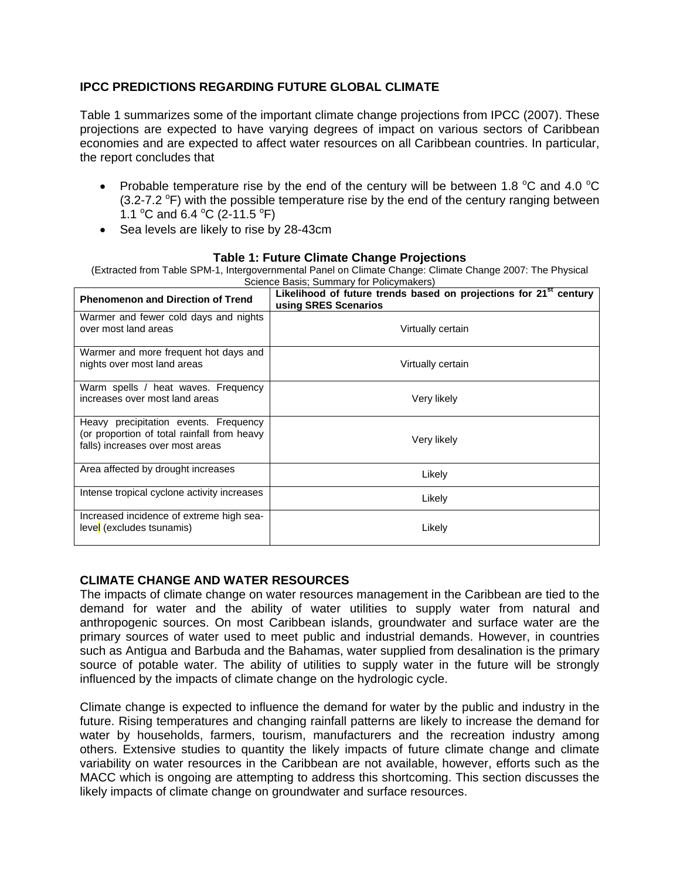### **IPCC PREDICTIONS REGARDING FUTURE GLOBAL CLIMATE**

Table 1 summarizes some of the important climate change projections from IPCC (2007). These projections are expected to have varying degrees of impact on various sectors of Caribbean economies and are expected to affect water resources on all Caribbean countries. In particular, the report concludes that

- Probable temperature rise by the end of the century will be between 1.8  $^{\circ}$ C and 4.0  $^{\circ}$ C  $(3.2$ -7.2  $\degree$ F) with the possible temperature rise by the end of the century ranging between 1.1 °C and 6.4 °C (2-11.5 °F)
- Sea levels are likely to rise by 28-43cm

#### **Table 1: Future Climate Change Projections**

(Extracted from Table SPM-1, Intergovernmental Panel on Climate Change: Climate Change 2007: The Physical Science Basis; Summary for Policymakers)

| <b>Phenomenon and Direction of Trend</b>                                                                                 | Likelihood of future trends based on projections for 21 <sup>st</sup> century<br>using SRES Scenarios |
|--------------------------------------------------------------------------------------------------------------------------|-------------------------------------------------------------------------------------------------------|
| Warmer and fewer cold days and nights<br>over most land areas                                                            | Virtually certain                                                                                     |
| Warmer and more frequent hot days and<br>nights over most land areas                                                     | Virtually certain                                                                                     |
| Warm spells / heat waves. Frequency<br>increases over most land areas                                                    | Very likely                                                                                           |
| Heavy precipitation events. Frequency<br>(or proportion of total rainfall from heavy<br>falls) increases over most areas | Very likely                                                                                           |
| Area affected by drought increases                                                                                       | Likely                                                                                                |
| Intense tropical cyclone activity increases                                                                              | Likely                                                                                                |
| Increased incidence of extreme high sea-<br>level (excludes tsunamis)                                                    | Likely                                                                                                |

### **CLIMATE CHANGE AND WATER RESOURCES**

The impacts of climate change on water resources management in the Caribbean are tied to the demand for water and the ability of water utilities to supply water from natural and anthropogenic sources. On most Caribbean islands, groundwater and surface water are the primary sources of water used to meet public and industrial demands. However, in countries such as Antigua and Barbuda and the Bahamas, water supplied from desalination is the primary source of potable water. The ability of utilities to supply water in the future will be strongly influenced by the impacts of climate change on the hydrologic cycle.

Climate change is expected to influence the demand for water by the public and industry in the future. Rising temperatures and changing rainfall patterns are likely to increase the demand for water by households, farmers, tourism, manufacturers and the recreation industry among others. Extensive studies to quantity the likely impacts of future climate change and climate variability on water resources in the Caribbean are not available, however, efforts such as the MACC which is ongoing are attempting to address this shortcoming. This section discusses the likely impacts of climate change on groundwater and surface resources.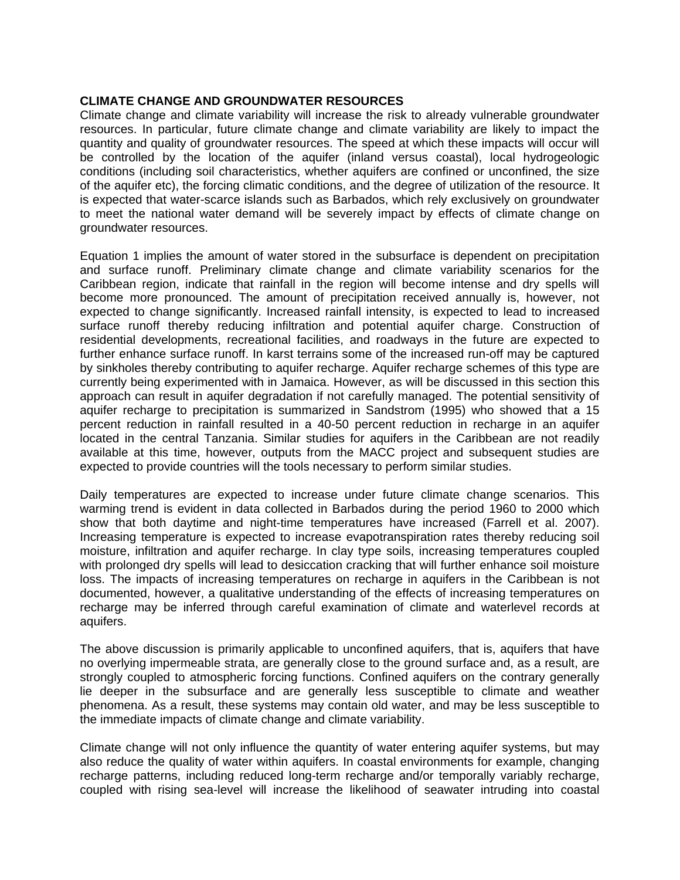#### **CLIMATE CHANGE AND GROUNDWATER RESOURCES**

Climate change and climate variability will increase the risk to already vulnerable groundwater resources. In particular, future climate change and climate variability are likely to impact the quantity and quality of groundwater resources. The speed at which these impacts will occur will be controlled by the location of the aquifer (inland versus coastal), local hydrogeologic conditions (including soil characteristics, whether aquifers are confined or unconfined, the size of the aquifer etc), the forcing climatic conditions, and the degree of utilization of the resource. It is expected that water-scarce islands such as Barbados, which rely exclusively on groundwater to meet the national water demand will be severely impact by effects of climate change on groundwater resources.

Equation 1 implies the amount of water stored in the subsurface is dependent on precipitation and surface runoff. Preliminary climate change and climate variability scenarios for the Caribbean region, indicate that rainfall in the region will become intense and dry spells will become more pronounced. The amount of precipitation received annually is, however, not expected to change significantly. Increased rainfall intensity, is expected to lead to increased surface runoff thereby reducing infiltration and potential aquifer charge. Construction of residential developments, recreational facilities, and roadways in the future are expected to further enhance surface runoff. In karst terrains some of the increased run-off may be captured by sinkholes thereby contributing to aquifer recharge. Aquifer recharge schemes of this type are currently being experimented with in Jamaica. However, as will be discussed in this section this approach can result in aquifer degradation if not carefully managed. The potential sensitivity of aquifer recharge to precipitation is summarized in Sandstrom (1995) who showed that a 15 percent reduction in rainfall resulted in a 40-50 percent reduction in recharge in an aquifer located in the central Tanzania. Similar studies for aquifers in the Caribbean are not readily available at this time, however, outputs from the MACC project and subsequent studies are expected to provide countries will the tools necessary to perform similar studies.

Daily temperatures are expected to increase under future climate change scenarios. This warming trend is evident in data collected in Barbados during the period 1960 to 2000 which show that both daytime and night-time temperatures have increased (Farrell et al. 2007). Increasing temperature is expected to increase evapotranspiration rates thereby reducing soil moisture, infiltration and aquifer recharge. In clay type soils, increasing temperatures coupled with prolonged dry spells will lead to desiccation cracking that will further enhance soil moisture loss. The impacts of increasing temperatures on recharge in aquifers in the Caribbean is not documented, however, a qualitative understanding of the effects of increasing temperatures on recharge may be inferred through careful examination of climate and waterlevel records at aquifers.

The above discussion is primarily applicable to unconfined aquifers, that is, aquifers that have no overlying impermeable strata, are generally close to the ground surface and, as a result, are strongly coupled to atmospheric forcing functions. Confined aquifers on the contrary generally lie deeper in the subsurface and are generally less susceptible to climate and weather phenomena. As a result, these systems may contain old water, and may be less susceptible to the immediate impacts of climate change and climate variability.

Climate change will not only influence the quantity of water entering aquifer systems, but may also reduce the quality of water within aquifers. In coastal environments for example, changing recharge patterns, including reduced long-term recharge and/or temporally variably recharge, coupled with rising sea-level will increase the likelihood of seawater intruding into coastal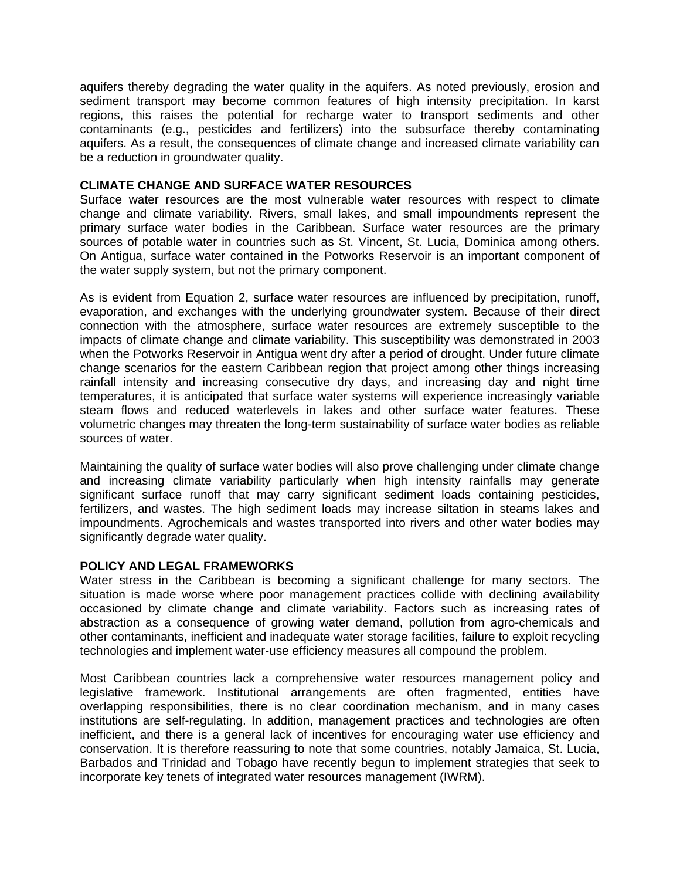aquifers thereby degrading the water quality in the aquifers. As noted previously, erosion and sediment transport may become common features of high intensity precipitation. In karst regions, this raises the potential for recharge water to transport sediments and other contaminants (e.g., pesticides and fertilizers) into the subsurface thereby contaminating aquifers. As a result, the consequences of climate change and increased climate variability can be a reduction in groundwater quality.

#### **CLIMATE CHANGE AND SURFACE WATER RESOURCES**

Surface water resources are the most vulnerable water resources with respect to climate change and climate variability. Rivers, small lakes, and small impoundments represent the primary surface water bodies in the Caribbean. Surface water resources are the primary sources of potable water in countries such as St. Vincent, St. Lucia, Dominica among others. On Antigua, surface water contained in the Potworks Reservoir is an important component of the water supply system, but not the primary component.

As is evident from Equation 2, surface water resources are influenced by precipitation, runoff, evaporation, and exchanges with the underlying groundwater system. Because of their direct connection with the atmosphere, surface water resources are extremely susceptible to the impacts of climate change and climate variability. This susceptibility was demonstrated in 2003 when the Potworks Reservoir in Antigua went dry after a period of drought. Under future climate change scenarios for the eastern Caribbean region that project among other things increasing rainfall intensity and increasing consecutive dry days, and increasing day and night time temperatures, it is anticipated that surface water systems will experience increasingly variable steam flows and reduced waterlevels in lakes and other surface water features. These volumetric changes may threaten the long-term sustainability of surface water bodies as reliable sources of water.

Maintaining the quality of surface water bodies will also prove challenging under climate change and increasing climate variability particularly when high intensity rainfalls may generate significant surface runoff that may carry significant sediment loads containing pesticides, fertilizers, and wastes. The high sediment loads may increase siltation in steams lakes and impoundments. Agrochemicals and wastes transported into rivers and other water bodies may significantly degrade water quality.

#### **POLICY AND LEGAL FRAMEWORKS**

Water stress in the Caribbean is becoming a significant challenge for many sectors. The situation is made worse where poor management practices collide with declining availability occasioned by climate change and climate variability. Factors such as increasing rates of abstraction as a consequence of growing water demand, pollution from agro-chemicals and other contaminants, inefficient and inadequate water storage facilities, failure to exploit recycling technologies and implement water-use efficiency measures all compound the problem.

Most Caribbean countries lack a comprehensive water resources management policy and legislative framework. Institutional arrangements are often fragmented, entities have overlapping responsibilities, there is no clear coordination mechanism, and in many cases institutions are self-regulating. In addition, management practices and technologies are often inefficient, and there is a general lack of incentives for encouraging water use efficiency and conservation. It is therefore reassuring to note that some countries, notably Jamaica, St. Lucia, Barbados and Trinidad and Tobago have recently begun to implement strategies that seek to incorporate key tenets of integrated water resources management (IWRM).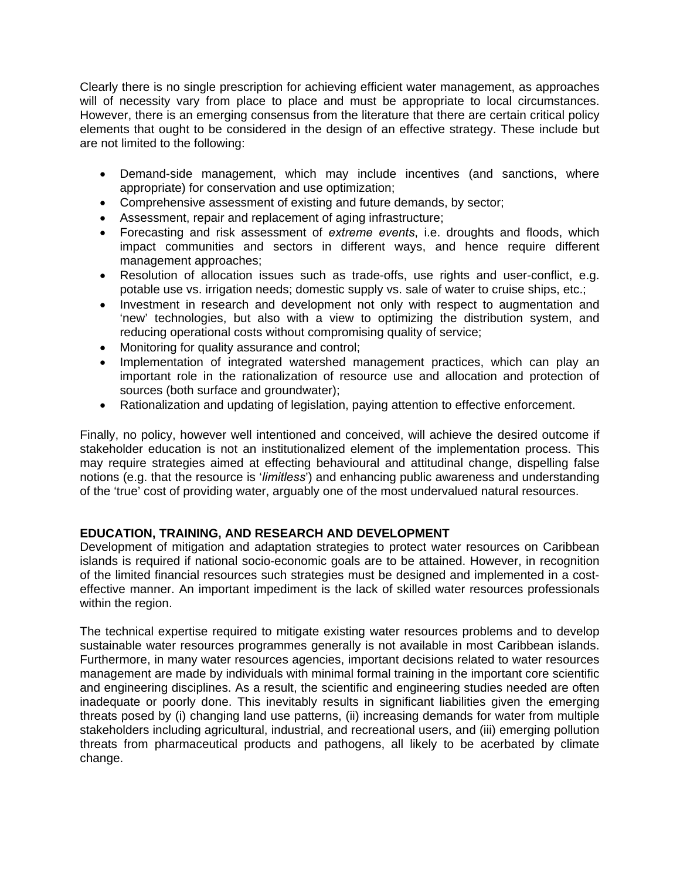Clearly there is no single prescription for achieving efficient water management, as approaches will of necessity vary from place to place and must be appropriate to local circumstances. However, there is an emerging consensus from the literature that there are certain critical policy elements that ought to be considered in the design of an effective strategy. These include but are not limited to the following:

- Demand-side management, which may include incentives (and sanctions, where appropriate) for conservation and use optimization;
- Comprehensive assessment of existing and future demands, by sector;
- Assessment, repair and replacement of aging infrastructure;
- Forecasting and risk assessment of *extreme events*, i.e. droughts and floods, which impact communities and sectors in different ways, and hence require different management approaches;
- Resolution of allocation issues such as trade-offs, use rights and user-conflict, e.g. potable use vs. irrigation needs; domestic supply vs. sale of water to cruise ships, etc.;
- Investment in research and development not only with respect to augmentation and 'new' technologies, but also with a view to optimizing the distribution system, and reducing operational costs without compromising quality of service;
- Monitoring for quality assurance and control;
- Implementation of integrated watershed management practices, which can play an important role in the rationalization of resource use and allocation and protection of sources (both surface and groundwater);
- Rationalization and updating of legislation, paying attention to effective enforcement.

Finally, no policy, however well intentioned and conceived, will achieve the desired outcome if stakeholder education is not an institutionalized element of the implementation process. This may require strategies aimed at effecting behavioural and attitudinal change, dispelling false notions (e.g. that the resource is '*limitless*') and enhancing public awareness and understanding of the 'true' cost of providing water, arguably one of the most undervalued natural resources.

## **EDUCATION, TRAINING, AND RESEARCH AND DEVELOPMENT**

Development of mitigation and adaptation strategies to protect water resources on Caribbean islands is required if national socio-economic goals are to be attained. However, in recognition of the limited financial resources such strategies must be designed and implemented in a costeffective manner. An important impediment is the lack of skilled water resources professionals within the region.

The technical expertise required to mitigate existing water resources problems and to develop sustainable water resources programmes generally is not available in most Caribbean islands. Furthermore, in many water resources agencies, important decisions related to water resources management are made by individuals with minimal formal training in the important core scientific and engineering disciplines. As a result, the scientific and engineering studies needed are often inadequate or poorly done. This inevitably results in significant liabilities given the emerging threats posed by (i) changing land use patterns, (ii) increasing demands for water from multiple stakeholders including agricultural, industrial, and recreational users, and (iii) emerging pollution threats from pharmaceutical products and pathogens, all likely to be acerbated by climate change.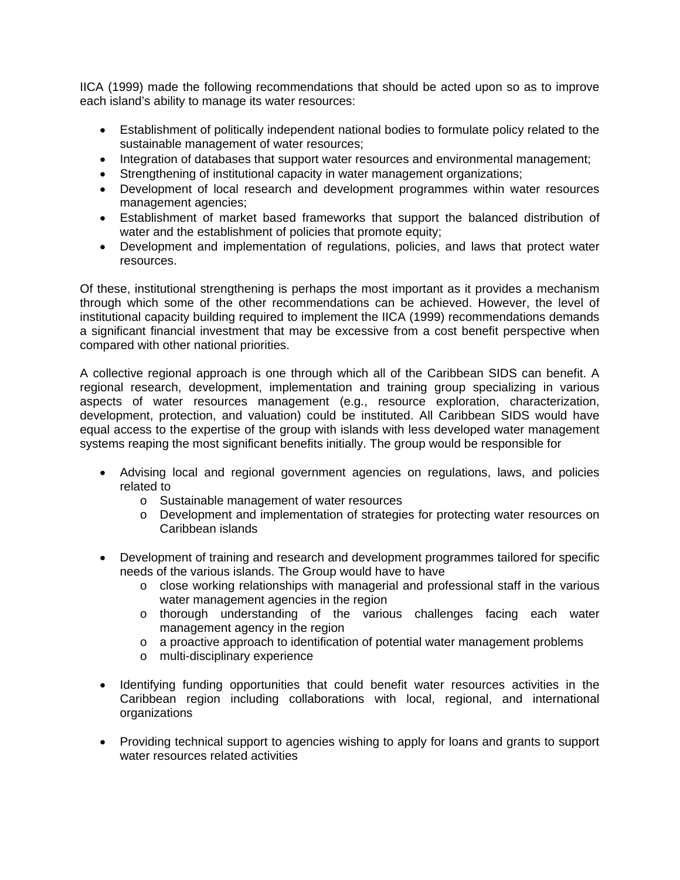IICA (1999) made the following recommendations that should be acted upon so as to improve each island's ability to manage its water resources:

- Establishment of politically independent national bodies to formulate policy related to the sustainable management of water resources;
- Integration of databases that support water resources and environmental management;
- Strengthening of institutional capacity in water management organizations;
- Development of local research and development programmes within water resources management agencies;
- Establishment of market based frameworks that support the balanced distribution of water and the establishment of policies that promote equity;
- Development and implementation of regulations, policies, and laws that protect water resources.

Of these, institutional strengthening is perhaps the most important as it provides a mechanism through which some of the other recommendations can be achieved. However, the level of institutional capacity building required to implement the IICA (1999) recommendations demands a significant financial investment that may be excessive from a cost benefit perspective when compared with other national priorities.

A collective regional approach is one through which all of the Caribbean SIDS can benefit. A regional research, development, implementation and training group specializing in various aspects of water resources management (e.g., resource exploration, characterization, development, protection, and valuation) could be instituted. All Caribbean SIDS would have equal access to the expertise of the group with islands with less developed water management systems reaping the most significant benefits initially. The group would be responsible for

- Advising local and regional government agencies on regulations, laws, and policies related to
	- o Sustainable management of water resources
	- o Development and implementation of strategies for protecting water resources on Caribbean islands
- Development of training and research and development programmes tailored for specific needs of the various islands. The Group would have to have
	- o close working relationships with managerial and professional staff in the various water management agencies in the region
	- o thorough understanding of the various challenges facing each water management agency in the region
	- o a proactive approach to identification of potential water management problems
	- o multi-disciplinary experience
- Identifying funding opportunities that could benefit water resources activities in the Caribbean region including collaborations with local, regional, and international organizations
- Providing technical support to agencies wishing to apply for loans and grants to support water resources related activities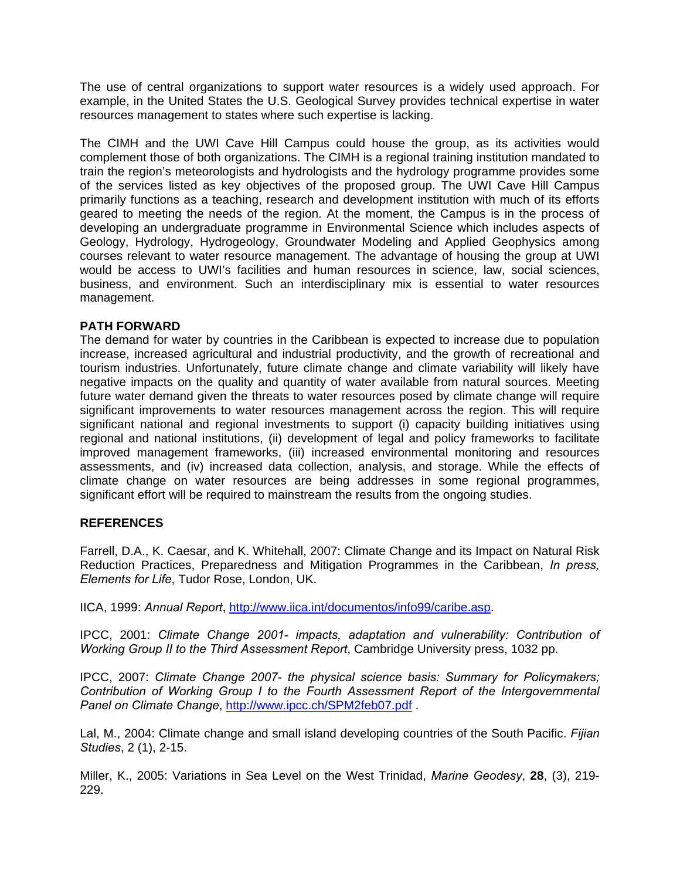The use of central organizations to support water resources is a widely used approach. For example, in the United States the U.S. Geological Survey provides technical expertise in water resources management to states where such expertise is lacking.

The CIMH and the UWI Cave Hill Campus could house the group, as its activities would complement those of both organizations. The CIMH is a regional training institution mandated to train the region's meteorologists and hydrologists and the hydrology programme provides some of the services listed as key objectives of the proposed group. The UWI Cave Hill Campus primarily functions as a teaching, research and development institution with much of its efforts geared to meeting the needs of the region. At the moment, the Campus is in the process of developing an undergraduate programme in Environmental Science which includes aspects of Geology, Hydrology, Hydrogeology, Groundwater Modeling and Applied Geophysics among courses relevant to water resource management. The advantage of housing the group at UWI would be access to UWI's facilities and human resources in science, law, social sciences, business, and environment. Such an interdisciplinary mix is essential to water resources management.

### **PATH FORWARD**

The demand for water by countries in the Caribbean is expected to increase due to population increase, increased agricultural and industrial productivity, and the growth of recreational and tourism industries. Unfortunately, future climate change and climate variability will likely have negative impacts on the quality and quantity of water available from natural sources. Meeting future water demand given the threats to water resources posed by climate change will require significant improvements to water resources management across the region. This will require significant national and regional investments to support (i) capacity building initiatives using regional and national institutions, (ii) development of legal and policy frameworks to facilitate improved management frameworks, (iii) increased environmental monitoring and resources assessments, and (iv) increased data collection, analysis, and storage. While the effects of climate change on water resources are being addresses in some regional programmes, significant effort will be required to mainstream the results from the ongoing studies.

### **REFERENCES**

Farrell, D.A., K. Caesar, and K. Whitehall, 2007: Climate Change and its Impact on Natural Risk Reduction Practices, Preparedness and Mitigation Programmes in the Caribbean, *In press, Elements for Life*, Tudor Rose, London, UK.

IICA, 1999: *Annual Report*, http://www.iica.int/documentos/info99/caribe.asp.

IPCC, 2001: *Climate Change 2001- impacts, adaptation and vulnerability: Contribution of Working Group II to the Third Assessment Report*, Cambridge University press, 1032 pp.

IPCC, 2007: *Climate Change 2007- the physical science basis: Summary for Policymakers; Contribution of Working Group I to the Fourth Assessment Report of the Intergovernmental Panel on Climate Change*, http://www.ipcc.ch/SPM2feb07.pdf .

Lal, M., 2004: Climate change and small island developing countries of the South Pacific. *Fijian Studies*, 2 (1), 2-15.

Miller, K., 2005: Variations in Sea Level on the West Trinidad, *Marine Geodesy*, **28**, (3), 219- 229.